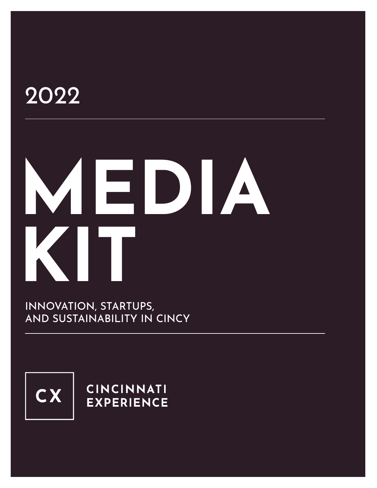## 2022

# **MEDIA KIT**

INNOVATION, STARTUPS, AND SUSTAINABILITY IN CINCY



**CINCINNATI EXPERIENCE**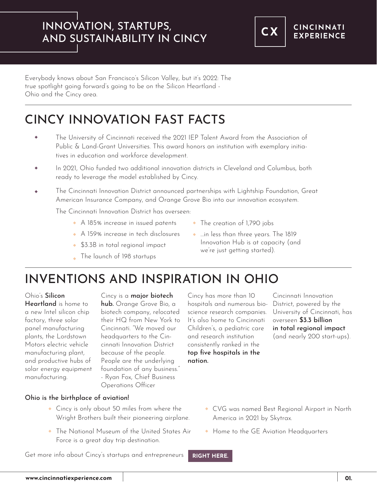#### INNOVATION, STARTUPS, AND SUSTAINABILITY IN CINCY



Everybody knows about San Francisco's Silicon Valley, but it's 2022: The true spotlight going forward's going to be on the Silicon Heartland - Ohio and the Cincy area.

### CINCY INNOVATION FAST FACTS

- The University of Cincinnati received the 2021 IEP Talent Award from the Association of Public & Land-Grant Universities. This award honors an institution with exemplary initiatives in education and workforce development.
- In 2021, Ohio funded two additional innovation districts in Cleveland and Columbus, both  $\ddot{\bullet}$ ready to leverage the model established by Cincy.
- The Cincinnati Innovation District announced partnerships with Lightship Foundation, Great American Insurance Company, and Orange Grove Bio into our innovation ecosystem.

The Cincinnati Innovation District has overseen:

- A 185% increase in issued patents
- A 159% increase in tech disclosures
- **\$3.3B** in total regional impact
- The launch of 198 startups
- The creation of 1,790 jobs
- …in less than three years. The 1819 Innovation Hub is at capacity (and we're just getting started).

#### INVENTIONS AND INSPIRATION IN OHIO

Ohio's Silicon

Heartland is home to a new Intel silicon chip factory, three solar panel manufacturing plants, the Lordstown Motors electric vehicle manufacturing plant, and productive hubs of solar energy equipment manufacturing.

Cincy is a **major biotech** 

hub. Orange Grove Bio, a biotech company, relocated their HQ from New York to Cincinnati. "We moved our headquarters to the Cincinnati Innovation District because of the people. People are the underlying foundation of any business." - Ryan Fox, Chief Business Operations Officer

Cincy has more than 10 hospitals and numerous bioscience research companies. It's also home to Cincinnati Children's, a pediatric care and research institution consistently ranked in the top five hospitals in the nation.

Cincinnati Innovation District, powered by the University of Cincinnati, has overseen \$3.3 billion in total regional impact (and nearly 200 start-ups).

- Ohio is the birthplace of aviation!
	- Cincy is only about 50 miles from where the Wright Brothers built their pioneering airplane.
	- The National Museum of the United States Air Force is a great day trip destination.

Get more info about Cincy's startups and entrepreneurs **[RIGHT HERE.](https://www.cincinnatiexperience.com/topics/start-up-scene/)** 

- CVG was named Best Regional Airport in North America in 2021 by Skytrax.
- Home to the GE Aviation Headquarters